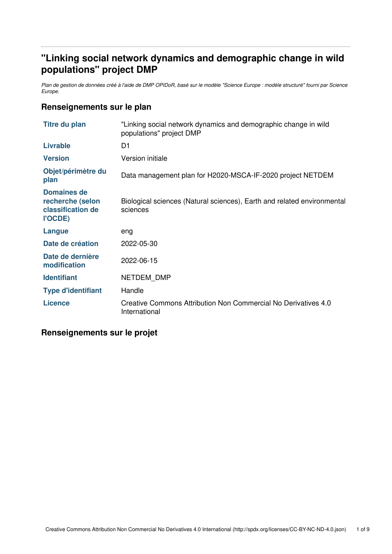## **"Linking social network dynamics and demographic change in wild populations" project DMP**

Plan de gestion de données créé à l'aide de DMP OPIDoR, basé sur le modèle "Science Europe : modèle structuré" fourni par Science *Europe.*

#### **Renseignements sur le plan**

| <b>Titre du plan</b>                                            | "Linking social network dynamics and demographic change in wild<br>populations" project DMP |
|-----------------------------------------------------------------|---------------------------------------------------------------------------------------------|
| <b>Livrable</b>                                                 | D1                                                                                          |
| <b>Version</b>                                                  | Version initiale                                                                            |
| Objet/périmètre du<br>plan                                      | Data management plan for H2020-MSCA-IF-2020 project NETDEM                                  |
| Domaines de<br>recherche (selon<br>classification de<br>l'OCDE) | Biological sciences (Natural sciences), Earth and related environmental<br>sciences         |
| <b>Langue</b>                                                   | eng                                                                                         |
| Date de création                                                | 2022-05-30                                                                                  |
| Date de dernière<br>modification                                | 2022-06-15                                                                                  |
| <b>Identifiant</b>                                              | NETDEM DMP                                                                                  |
| <b>Type d'identifiant</b>                                       | Handle                                                                                      |
| <b>Licence</b>                                                  | Creative Commons Attribution Non Commercial No Derivatives 4.0<br>International             |

#### **Renseignements sur le projet**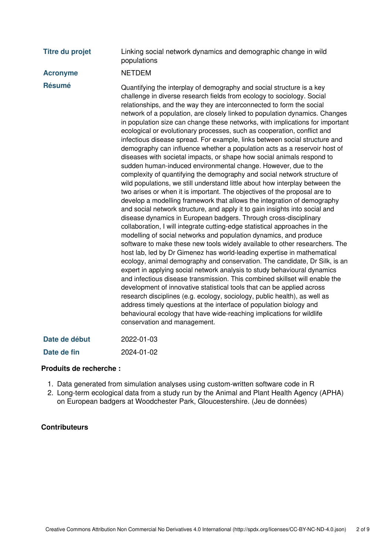| <b>Titre du projet</b> | Linking social network dynamics and demographic change in wild<br>populations                                                                                                                                                                                                                                                                                                                                                                                                                                                                                                                                                                                                                                                                                                                                                                                                                                                                                                                                                                                                                                                                                                                                                                                                                                                                                                                                                                                                                                                                                                                                                                                                                                                                                                                                                                                                                                                                                                                                                                                                                                                                  |
|------------------------|------------------------------------------------------------------------------------------------------------------------------------------------------------------------------------------------------------------------------------------------------------------------------------------------------------------------------------------------------------------------------------------------------------------------------------------------------------------------------------------------------------------------------------------------------------------------------------------------------------------------------------------------------------------------------------------------------------------------------------------------------------------------------------------------------------------------------------------------------------------------------------------------------------------------------------------------------------------------------------------------------------------------------------------------------------------------------------------------------------------------------------------------------------------------------------------------------------------------------------------------------------------------------------------------------------------------------------------------------------------------------------------------------------------------------------------------------------------------------------------------------------------------------------------------------------------------------------------------------------------------------------------------------------------------------------------------------------------------------------------------------------------------------------------------------------------------------------------------------------------------------------------------------------------------------------------------------------------------------------------------------------------------------------------------------------------------------------------------------------------------------------------------|
| <b>Acronyme</b>        | <b>NETDEM</b>                                                                                                                                                                                                                                                                                                                                                                                                                                                                                                                                                                                                                                                                                                                                                                                                                                                                                                                                                                                                                                                                                                                                                                                                                                                                                                                                                                                                                                                                                                                                                                                                                                                                                                                                                                                                                                                                                                                                                                                                                                                                                                                                  |
| <b>Résumé</b>          | Quantifying the interplay of demography and social structure is a key<br>challenge in diverse research fields from ecology to sociology. Social<br>relationships, and the way they are interconnected to form the social<br>network of a population, are closely linked to population dynamics. Changes<br>in population size can change these networks, with implications for important<br>ecological or evolutionary processes, such as cooperation, conflict and<br>infectious disease spread. For example, links between social structure and<br>demography can influence whether a population acts as a reservoir host of<br>diseases with societal impacts, or shape how social animals respond to<br>sudden human-induced environmental change. However, due to the<br>complexity of quantifying the demography and social network structure of<br>wild populations, we still understand little about how interplay between the<br>two arises or when it is important. The objectives of the proposal are to<br>develop a modelling framework that allows the integration of demography<br>and social network structure, and apply it to gain insights into social and<br>disease dynamics in European badgers. Through cross-disciplinary<br>collaboration, I will integrate cutting-edge statistical approaches in the<br>modelling of social networks and population dynamics, and produce<br>software to make these new tools widely available to other researchers. The<br>host lab, led by Dr Gimenez has world-leading expertise in mathematical<br>ecology, animal demography and conservation. The candidate, Dr Silk, is an<br>expert in applying social network analysis to study behavioural dynamics<br>and infectious disease transmission. This combined skillset will enable the<br>development of innovative statistical tools that can be applied across<br>research disciplines (e.g. ecology, sociology, public health), as well as<br>address timely questions at the interface of population biology and<br>behavioural ecology that have wide-reaching implications for wildlife<br>conservation and management. |
| Date de début          | 2022-01-03                                                                                                                                                                                                                                                                                                                                                                                                                                                                                                                                                                                                                                                                                                                                                                                                                                                                                                                                                                                                                                                                                                                                                                                                                                                                                                                                                                                                                                                                                                                                                                                                                                                                                                                                                                                                                                                                                                                                                                                                                                                                                                                                     |

| Date de fin | 2024-01-02 |
|-------------|------------|
|             |            |

#### **Produits de recherche :**

- 1. Data generated from simulation analyses using custom-written software code in R
- 2. Long-term ecological data from a study run by the Animal and Plant Health Agency (APHA) on European badgers at Woodchester Park, Gloucestershire. (Jeu de données)

#### **Contributeurs**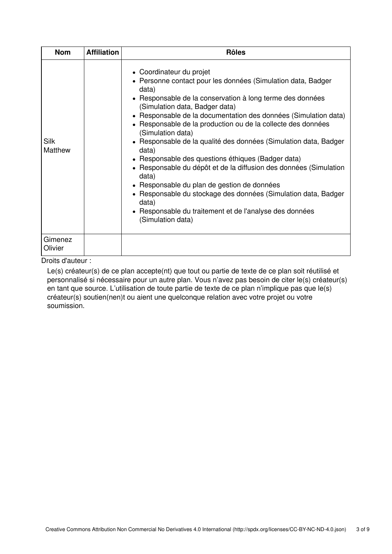| <b>Nom</b>         | <b>Affiliation</b> | <b>Rôles</b>                                                                                                                                                                                                                                                                                                                                                                                                                                                                                                                                                                                                                                                                                                                                                                        |
|--------------------|--------------------|-------------------------------------------------------------------------------------------------------------------------------------------------------------------------------------------------------------------------------------------------------------------------------------------------------------------------------------------------------------------------------------------------------------------------------------------------------------------------------------------------------------------------------------------------------------------------------------------------------------------------------------------------------------------------------------------------------------------------------------------------------------------------------------|
| Silk<br>Matthew    |                    | • Coordinateur du projet<br>• Personne contact pour les données (Simulation data, Badger<br>data)<br>• Responsable de la conservation à long terme des données<br>(Simulation data, Badger data)<br>• Responsable de la documentation des données (Simulation data)<br>• Responsable de la production ou de la collecte des données<br>(Simulation data)<br>• Responsable de la qualité des données (Simulation data, Badger<br>data)<br>• Responsable des questions éthiques (Badger data)<br>• Responsable du dépôt et de la diffusion des données (Simulation<br>data)<br>• Responsable du plan de gestion de données<br>• Responsable du stockage des données (Simulation data, Badger<br>data)<br>• Responsable du traitement et de l'analyse des données<br>(Simulation data) |
| Gimenez<br>Olivier |                    |                                                                                                                                                                                                                                                                                                                                                                                                                                                                                                                                                                                                                                                                                                                                                                                     |

Droits d'auteur :

Le(s) créateur(s) de ce plan accepte(nt) que tout ou partie de texte de ce plan soit réutilisé et personnalisé si nécessaire pour un autre plan. Vous n'avez pas besoin de citer le(s) créateur(s) en tant que source. L'utilisation de toute partie de texte de ce plan n'implique pas que le(s) créateur(s) soutien(nen)t ou aient une quelconque relation avec votre projet ou votre soumission.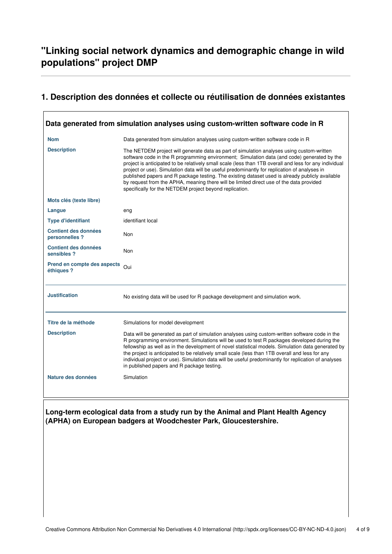## **"Linking social network dynamics and demographic change in wild populations" project DMP**

# **1. Description des données et collecte ou réutilisation de données existantes**

|                                               | Data generated from simulation analyses using custom-written software code in R                                                                                                                                                                                                                                                                                                                                                                                                                                                                                                                                                                             |
|-----------------------------------------------|-------------------------------------------------------------------------------------------------------------------------------------------------------------------------------------------------------------------------------------------------------------------------------------------------------------------------------------------------------------------------------------------------------------------------------------------------------------------------------------------------------------------------------------------------------------------------------------------------------------------------------------------------------------|
| <b>Nom</b>                                    | Data generated from simulation analyses using custom-written software code in R                                                                                                                                                                                                                                                                                                                                                                                                                                                                                                                                                                             |
| <b>Description</b>                            | The NETDEM project will generate data as part of simulation analyses using custom-written<br>software code in the R programming environment; Simulation data (and code) generated by the<br>project is anticipated to be relatively small scale (less than 1TB overall and less for any individual<br>project or use). Simulation data will be useful predominantly for replication of analyses in<br>published papers and R package testing. The existing dataset used is already publicly available<br>by request from the APHA, meaning there will be limited direct use of the data provided<br>specifically for the NETDEM project beyond replication. |
| Mots clés (texte libre)                       |                                                                                                                                                                                                                                                                                                                                                                                                                                                                                                                                                                                                                                                             |
| Langue                                        | eng                                                                                                                                                                                                                                                                                                                                                                                                                                                                                                                                                                                                                                                         |
| <b>Type d'identifiant</b>                     | identifiant local                                                                                                                                                                                                                                                                                                                                                                                                                                                                                                                                                                                                                                           |
| <b>Contient des données</b><br>personnelles ? | Non                                                                                                                                                                                                                                                                                                                                                                                                                                                                                                                                                                                                                                                         |
| <b>Contient des données</b><br>sensibles ?    | Non                                                                                                                                                                                                                                                                                                                                                                                                                                                                                                                                                                                                                                                         |
| Prend en compte des aspects<br>éthiques ?     | Oui                                                                                                                                                                                                                                                                                                                                                                                                                                                                                                                                                                                                                                                         |
| <b>Justification</b>                          | No existing data will be used for R package development and simulation work.                                                                                                                                                                                                                                                                                                                                                                                                                                                                                                                                                                                |
| Titre de la méthode                           | Simulations for model development                                                                                                                                                                                                                                                                                                                                                                                                                                                                                                                                                                                                                           |
| <b>Description</b>                            | Data will be generated as part of simulation analyses using custom-written software code in the<br>R programming environment. Simulations will be used to test R packages developed during the<br>fellowship as well as in the development of novel statistical models. Simulation data generated by<br>the project is anticipated to be relatively small scale (less than 1TB overall and less for any<br>individual project or use). Simulation data will be useful predominantly for replication of analyses<br>in published papers and R package testing.                                                                                               |
| Nature des données                            | Simulation                                                                                                                                                                                                                                                                                                                                                                                                                                                                                                                                                                                                                                                  |
|                                               | Long-term ecological data from a study run by the Animal and Plant Health Agency<br>(APHA) on European badgers at Woodchester Park, Gloucestershire.                                                                                                                                                                                                                                                                                                                                                                                                                                                                                                        |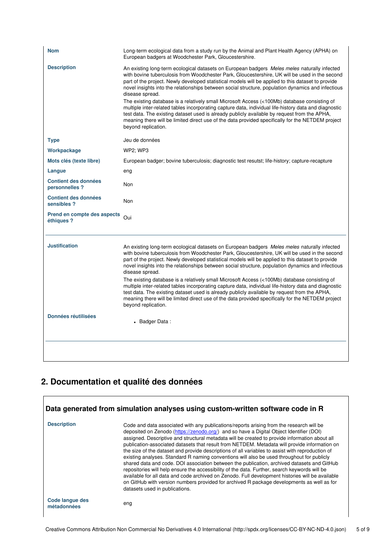| <b>Nom</b>                                    | Long-term ecological data from a study run by the Animal and Plant Health Agency (APHA) on<br>European badgers at Woodchester Park, Gloucestershire.                                                                                                                                                                                                                                                                                                                                                                                                                                                                                                                                                                                                                                                                                                               |
|-----------------------------------------------|--------------------------------------------------------------------------------------------------------------------------------------------------------------------------------------------------------------------------------------------------------------------------------------------------------------------------------------------------------------------------------------------------------------------------------------------------------------------------------------------------------------------------------------------------------------------------------------------------------------------------------------------------------------------------------------------------------------------------------------------------------------------------------------------------------------------------------------------------------------------|
| <b>Description</b>                            | An existing long-term ecological datasets on European badgers Meles meles naturally infected<br>with bovine tuberculosis from Woodchester Park, Gloucestershire, UK will be used in the second<br>part of the project. Newly developed statistical models will be applied to this dataset to provide<br>novel insights into the relationships between social structure, population dynamics and infectious<br>disease spread.<br>The existing database is a relatively small Microsoft Access (<100Mb) database consisting of<br>multiple inter-related tables incorporating capture data, individual life-history data and diagnostic<br>test data. The existing dataset used is already publicly available by request from the APHA,<br>meaning there will be limited direct use of the data provided specifically for the NETDEM project<br>beyond replication. |
| <b>Type</b>                                   | Jeu de données                                                                                                                                                                                                                                                                                                                                                                                                                                                                                                                                                                                                                                                                                                                                                                                                                                                     |
| Workpackage                                   | <b>WP2: WP3</b>                                                                                                                                                                                                                                                                                                                                                                                                                                                                                                                                                                                                                                                                                                                                                                                                                                                    |
| Mots clés (texte libre)                       | European badger; bovine tuberculosis; diagnostic test resutst; life-history; capture-recapture                                                                                                                                                                                                                                                                                                                                                                                                                                                                                                                                                                                                                                                                                                                                                                     |
| Langue                                        | eng                                                                                                                                                                                                                                                                                                                                                                                                                                                                                                                                                                                                                                                                                                                                                                                                                                                                |
| <b>Contient des données</b><br>personnelles ? | Non                                                                                                                                                                                                                                                                                                                                                                                                                                                                                                                                                                                                                                                                                                                                                                                                                                                                |
| <b>Contient des données</b><br>sensibles?     | Non                                                                                                                                                                                                                                                                                                                                                                                                                                                                                                                                                                                                                                                                                                                                                                                                                                                                |
| Prend en compte des aspects<br>éthiques ?     | Oui                                                                                                                                                                                                                                                                                                                                                                                                                                                                                                                                                                                                                                                                                                                                                                                                                                                                |
| <b>Justification</b>                          | An existing long-term ecological datasets on European badgers Meles meles naturally infected<br>with bovine tuberculosis from Woodchester Park, Gloucestershire, UK will be used in the second<br>part of the project. Newly developed statistical models will be applied to this dataset to provide<br>novel insights into the relationships between social structure, population dynamics and infectious<br>disease spread.<br>The existing database is a relatively small Microsoft Access (<100Mb) database consisting of<br>multiple inter-related tables incorporating capture data, individual life-history data and diagnostic<br>test data. The existing dataset used is already publicly available by request from the APHA,<br>meaning there will be limited direct use of the data provided specifically for the NETDEM project<br>beyond replication. |
| <b>Données réutilisées</b>                    | • Badger Data:                                                                                                                                                                                                                                                                                                                                                                                                                                                                                                                                                                                                                                                                                                                                                                                                                                                     |
|                                               |                                                                                                                                                                                                                                                                                                                                                                                                                                                                                                                                                                                                                                                                                                                                                                                                                                                                    |

# **2. Documentation et qualité des données**

| <b>Description</b>             | Code and data associated with any publications/reports arising from the research will be<br>deposited on Zenodo (https://zenodo.org/) and so have a Digital Object Identifier (DOI)<br>assigned. Descriptive and structural metadata will be created to provide information about all<br>publication-associated datasets that result from NETDEM. Metadata will provide information on<br>the size of the dataset and provide descriptions of all variables to assist with reproduction of<br>existing analyses. Standard R naming conventions will also be used throughout for publicly<br>shared data and code. DOI association between the publication, archived datasets and GitHub<br>repositories will help ensure the accessibility of the data. Further, search keywords will be<br>available for all data and code archived on Zenodo. Full development histories will be available<br>on GitHub with version numbers provided for archived R package developments as well as for<br>datasets used in publications. |
|--------------------------------|------------------------------------------------------------------------------------------------------------------------------------------------------------------------------------------------------------------------------------------------------------------------------------------------------------------------------------------------------------------------------------------------------------------------------------------------------------------------------------------------------------------------------------------------------------------------------------------------------------------------------------------------------------------------------------------------------------------------------------------------------------------------------------------------------------------------------------------------------------------------------------------------------------------------------------------------------------------------------------------------------------------------------|
| Code langue des<br>métadonnées | eng                                                                                                                                                                                                                                                                                                                                                                                                                                                                                                                                                                                                                                                                                                                                                                                                                                                                                                                                                                                                                          |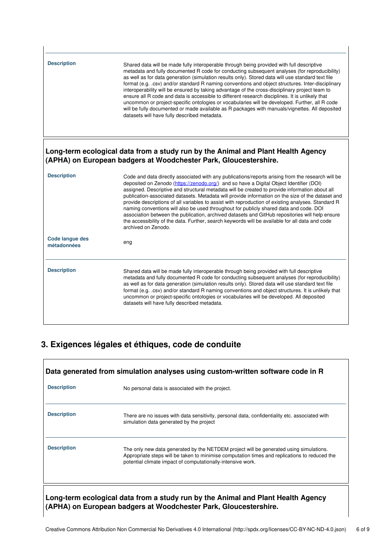| <b>Description</b>                    | Shared data will be made fully interoperable through being provided with full descriptive<br>metadata and fully documented R code for conducting subsequent analyses (for reproducibility)<br>as well as for data generation (simulation results only). Stored data will use standard text file<br>format (e.g. .csv) and/or standard R naming conventions and object structures. Inter-disciplinary<br>interoperability will be ensured by taking advantage of the cross-disciplinary project team to<br>ensure all R code and data is accessible to different research disciplines. It is unlikely that<br>uncommon or project-specific ontologies or vocabularies will be developed. Further, all R code<br>will be fully documented or made available as R packages with manuals/vignettes. All deposited<br>datasets will have fully described metadata. |
|---------------------------------------|---------------------------------------------------------------------------------------------------------------------------------------------------------------------------------------------------------------------------------------------------------------------------------------------------------------------------------------------------------------------------------------------------------------------------------------------------------------------------------------------------------------------------------------------------------------------------------------------------------------------------------------------------------------------------------------------------------------------------------------------------------------------------------------------------------------------------------------------------------------|
|                                       | Long-term ecological data from a study run by the Animal and Plant Health Agency<br>(APHA) on European badgers at Woodchester Park, Gloucestershire.                                                                                                                                                                                                                                                                                                                                                                                                                                                                                                                                                                                                                                                                                                          |
| <b>Description</b>                    | Code and data directly associated with any publications/reports arising from the research will be<br>deposited on Zenodo (https://zenodo.org/) and so have a Digital Object Identifier (DOI)<br>assigned. Descriptive and structural metadata will be created to provide information about all<br>publication-associated datasets. Metadata will provide information on the size of the dataset and<br>provide descriptions of all variables to assist with reproduction of existing analyses. Standard R<br>naming conventions will also be used throughout for publicly shared data and code. DOI<br>association between the publication, archived datasets and GitHub repositories will help ensure<br>the accessibility of the data. Further, search keywords will be available for all data and code<br>archived on Zenodo.                              |
| <b>Code langue des</b><br>métadonnées | eng                                                                                                                                                                                                                                                                                                                                                                                                                                                                                                                                                                                                                                                                                                                                                                                                                                                           |
| <b>Description</b>                    | Shared data will be made fully interoperable through being provided with full descriptive<br>metadata and fully documented R code for conducting subsequent analyses (for reproducibility)<br>as well as for data generation (simulation results only). Stored data will use standard text file<br>format (e.g. .csv) and/or standard R naming conventions and object structures. It is unlikely that<br>uncommon or project-specific ontologies or vocabularies will be developed. All deposited<br>datasets will have fully described metadata.                                                                                                                                                                                                                                                                                                             |

## **3. Exigences légales et éthiques, code de conduite**

| Data generated from simulation analyses using custom-written software code in R |                                                                                                                                                                                                                                                        |  |
|---------------------------------------------------------------------------------|--------------------------------------------------------------------------------------------------------------------------------------------------------------------------------------------------------------------------------------------------------|--|
| <b>Description</b>                                                              | No personal data is associated with the project.                                                                                                                                                                                                       |  |
| <b>Description</b>                                                              | There are no issues with data sensitivity, personal data, confidentiality etc. associated with<br>simulation data generated by the project                                                                                                             |  |
| <b>Description</b>                                                              | The only new data generated by the NETDEM project will be generated using simulations.<br>Appropriate steps will be taken to minimise computation times and replications to reduced the<br>potential climate impact of computationally-intensive work. |  |
|                                                                                 | Long-term ecological data from a study run by the Animal and Plant Health Agency<br>(APHA) on European badgers at Woodchester Park, Gloucestershire.                                                                                                   |  |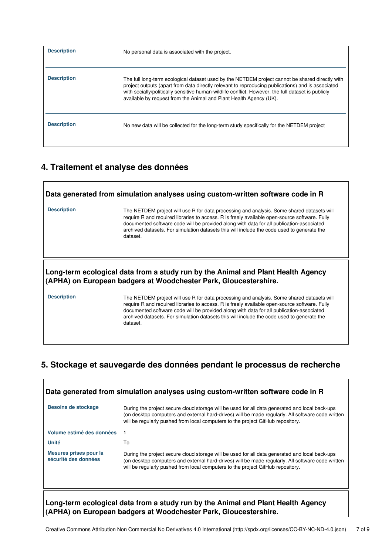| <b>Description</b> | No personal data is associated with the project.                                                                                                                                                                                                                                                                                                                                 |
|--------------------|----------------------------------------------------------------------------------------------------------------------------------------------------------------------------------------------------------------------------------------------------------------------------------------------------------------------------------------------------------------------------------|
| <b>Description</b> | The full long-term ecological dataset used by the NETDEM project cannot be shared directly with<br>project outputs (apart from data directly relevant to reproducing publications) and is associated<br>with socially/politically sensitive human-wildlife conflict. However, the full dataset is publicly<br>available by request from the Animal and Plant Health Agency (UK). |
| <b>Description</b> | No new data will be collected for the long-term study specifically for the NETDEM project                                                                                                                                                                                                                                                                                        |

### **4. Traitement et analyse des données**

 $\mathbf{r}$ 

|                                                                                                                                                                                                                                                                                                                                                                          | Data generated from simulation analyses using custom-written software code in R                                                                                                                                                                                                                                                                                                                  |
|--------------------------------------------------------------------------------------------------------------------------------------------------------------------------------------------------------------------------------------------------------------------------------------------------------------------------------------------------------------------------|--------------------------------------------------------------------------------------------------------------------------------------------------------------------------------------------------------------------------------------------------------------------------------------------------------------------------------------------------------------------------------------------------|
| <b>Description</b>                                                                                                                                                                                                                                                                                                                                                       | The NETDEM project will use R for data processing and analysis. Some shared datasets will<br>require R and required libraries to access. R is freely available open-source software. Fully<br>documented software code will be provided along with data for all publication-associated<br>archived datasets. For simulation datasets this will include the code used to generate the<br>dataset. |
| Long-term ecological data from a study run by the Animal and Plant Health Agency<br>(APHA) on European badgers at Woodchester Park, Gloucestershire.<br><b>Description</b><br>The NETDEM project will use R for data processing and analysis. Some shared datasets will<br>require R and required libraries to access. R is freely available open-source software. Fully |                                                                                                                                                                                                                                                                                                                                                                                                  |
|                                                                                                                                                                                                                                                                                                                                                                          | documented software code will be provided along with data for all publication-associated<br>archived datasets. For simulation datasets this will include the code used to generate the                                                                                                                                                                                                           |

### **5. Stockage et sauvegarde des données pendant le processus de recherche**

| Data generated from simulation analyses using custom-written software code in R |                                                                                                                                                                                                                                                                                        |  |
|---------------------------------------------------------------------------------|----------------------------------------------------------------------------------------------------------------------------------------------------------------------------------------------------------------------------------------------------------------------------------------|--|
| <b>Besoins de stockage</b>                                                      | During the project secure cloud storage will be used for all data generated and local back-ups<br>(on desktop computers and external hard-drives) will be made regularly. All software code written<br>will be regularly pushed from local computers to the project GitHub repository. |  |
| Volume estimé des données                                                       |                                                                                                                                                                                                                                                                                        |  |
| <b>Unité</b>                                                                    | To                                                                                                                                                                                                                                                                                     |  |
| Mesures prises pour la<br>sécurité des données                                  | During the project secure cloud storage will be used for all data generated and local back-ups<br>(on desktop computers and external hard-drives) will be made regularly. All software code written<br>will be regularly pushed from local computers to the project GitHub repository. |  |
|                                                                                 | Long-term ecological data from a study run by the Animal and Plant Health Agency                                                                                                                                                                                                       |  |

**(APHA) on European badgers at Woodchester Park, Gloucestershire.**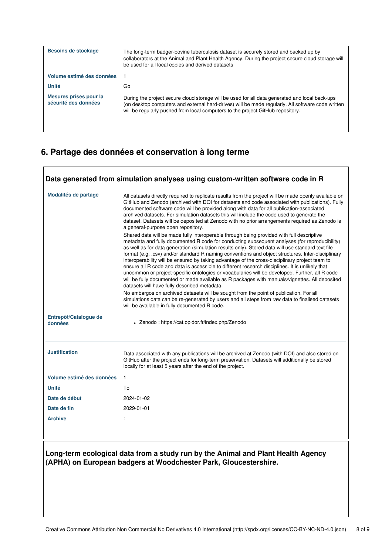| Besoins de stockage                            | The long-term badger-bovine tuberculosis dataset is securely stored and backed up by<br>collaborators at the Animal and Plant Health Agency. During the project secure cloud storage will<br>be used for all local copies and derived datasets                                         |
|------------------------------------------------|----------------------------------------------------------------------------------------------------------------------------------------------------------------------------------------------------------------------------------------------------------------------------------------|
| Volume estimé des données                      |                                                                                                                                                                                                                                                                                        |
| <b>Unité</b>                                   | Go                                                                                                                                                                                                                                                                                     |
| Mesures prises pour la<br>sécurité des données | During the project secure cloud storage will be used for all data generated and local back-ups<br>(on desktop computers and external hard-drives) will be made regularly. All software code written<br>will be regularly pushed from local computers to the project GitHub repository. |

### **6. Partage des données et conservation à long terme**

| Modalités de partage             | All datasets directly required to replicate results from the project will be made openly available on<br>GitHub and Zenodo (archived with DOI for datasets and code associated with publications). Fully<br>documented software code will be provided along with data for all publication-associated<br>archived datasets. For simulation datasets this will include the code used to generate the<br>dataset. Datasets will be deposited at Zenodo with no prior arrangements required as Zenodo is<br>a general-purpose open repository.<br>Shared data will be made fully interoperable through being provided with full descriptive<br>metadata and fully documented R code for conducting subsequent analyses (for reproducibility)<br>as well as for data generation (simulation results only). Stored data will use standard text file<br>format (e.g. .csv) and/or standard R naming conventions and object structures. Inter-disciplinary<br>interoperability will be ensured by taking advantage of the cross-disciplinary project team to<br>ensure all R code and data is accessible to different research disciplines. It is unlikely that<br>uncommon or project-specific ontologies or vocabularies will be developed. Further, all R code<br>will be fully documented or made available as R packages with manuals/vignettes. All deposited<br>datasets will have fully described metadata.<br>No embargos on archived datasets will be sought from the point of publication. For all<br>simulations data can be re-generated by users and all steps from raw data to finalised datasets<br>will be available in fully documented R code. |
|----------------------------------|-----------------------------------------------------------------------------------------------------------------------------------------------------------------------------------------------------------------------------------------------------------------------------------------------------------------------------------------------------------------------------------------------------------------------------------------------------------------------------------------------------------------------------------------------------------------------------------------------------------------------------------------------------------------------------------------------------------------------------------------------------------------------------------------------------------------------------------------------------------------------------------------------------------------------------------------------------------------------------------------------------------------------------------------------------------------------------------------------------------------------------------------------------------------------------------------------------------------------------------------------------------------------------------------------------------------------------------------------------------------------------------------------------------------------------------------------------------------------------------------------------------------------------------------------------------------------------------------------------------------------------------------------------------|
| Entrepôt/Catalogue de<br>données | • Zenodo: https://cat.opidor.fr/index.php/Zenodo                                                                                                                                                                                                                                                                                                                                                                                                                                                                                                                                                                                                                                                                                                                                                                                                                                                                                                                                                                                                                                                                                                                                                                                                                                                                                                                                                                                                                                                                                                                                                                                                          |
|                                  |                                                                                                                                                                                                                                                                                                                                                                                                                                                                                                                                                                                                                                                                                                                                                                                                                                                                                                                                                                                                                                                                                                                                                                                                                                                                                                                                                                                                                                                                                                                                                                                                                                                           |
| <b>Justification</b>             | Data associated with any publications will be archived at Zenodo (with DOI) and also stored on<br>GitHub after the project ends for long-term preservation. Datasets will additionally be stored<br>locally for at least 5 years after the end of the project.                                                                                                                                                                                                                                                                                                                                                                                                                                                                                                                                                                                                                                                                                                                                                                                                                                                                                                                                                                                                                                                                                                                                                                                                                                                                                                                                                                                            |
| Volume estimé des données        | $\mathbf{1}$                                                                                                                                                                                                                                                                                                                                                                                                                                                                                                                                                                                                                                                                                                                                                                                                                                                                                                                                                                                                                                                                                                                                                                                                                                                                                                                                                                                                                                                                                                                                                                                                                                              |
| Unité                            | To                                                                                                                                                                                                                                                                                                                                                                                                                                                                                                                                                                                                                                                                                                                                                                                                                                                                                                                                                                                                                                                                                                                                                                                                                                                                                                                                                                                                                                                                                                                                                                                                                                                        |
| Date de début                    | 2024-01-02                                                                                                                                                                                                                                                                                                                                                                                                                                                                                                                                                                                                                                                                                                                                                                                                                                                                                                                                                                                                                                                                                                                                                                                                                                                                                                                                                                                                                                                                                                                                                                                                                                                |
| Date de fin                      | 2029-01-01                                                                                                                                                                                                                                                                                                                                                                                                                                                                                                                                                                                                                                                                                                                                                                                                                                                                                                                                                                                                                                                                                                                                                                                                                                                                                                                                                                                                                                                                                                                                                                                                                                                |
| <b>Archive</b>                   |                                                                                                                                                                                                                                                                                                                                                                                                                                                                                                                                                                                                                                                                                                                                                                                                                                                                                                                                                                                                                                                                                                                                                                                                                                                                                                                                                                                                                                                                                                                                                                                                                                                           |

#### **Long-term ecological data from a study run by the Animal and Plant Health Agency (APHA) on European badgers at Woodchester Park, Gloucestershire.**